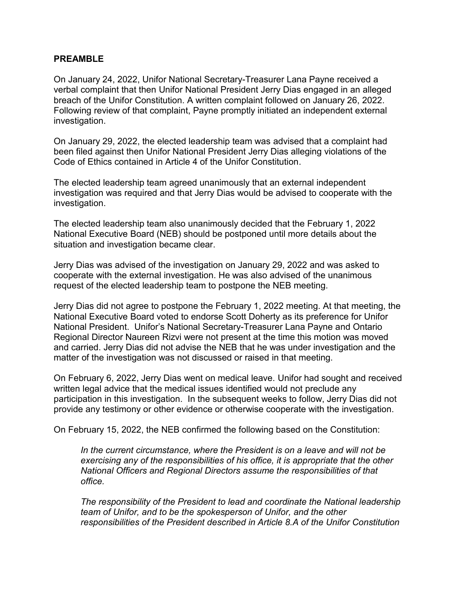## **PREAMBLE**

 On January 24, 2022, Unifor National Secretary-Treasurer Lana Payne received a verbal complaint that then Unifor National President Jerry Dias engaged in an alleged breach of the Unifor Constitution. A written complaint followed on January 26, 2022. Following review of that complaint, Payne promptly initiated an independent external investigation.

 been filed against then Unifor National President Jerry Dias alleging violations of the Code of Ethics contained in Article 4 of the Unifor Constitution. On January 29, 2022, the elected leadership team was advised that a complaint had

The elected leadership team agreed unanimously that an external independent investigation was required and that Jerry Dias would be advised to cooperate with the investigation.

The elected leadership team also unanimously decided that the February 1, 2022 National Executive Board (NEB) should be postponed until more details about the situation and investigation became clear.

Jerry Dias was advised of the investigation on January 29, 2022 and was asked to cooperate with the external investigation. He was also advised of the unanimous request of the elected leadership team to postpone the NEB meeting.

 National President. Unifor's National Secretary-Treasurer Lana Payne and Ontario and carried. Jerry Dias did not advise the NEB that he was under investigation and the matter of the investigation was not discussed or raised in that meeting. Jerry Dias did not agree to postpone the February 1, 2022 meeting. At that meeting, the National Executive Board voted to endorse Scott Doherty as its preference for Unifor Regional Director Naureen Rizvi were not present at the time this motion was moved

 written legal advice that the medical issues identified would not preclude any participation in this investigation. In the subsequent weeks to follow, Jerry Dias did not provide any testimony or other evidence or otherwise cooperate with the investigation. On February 6, 2022, Jerry Dias went on medical leave. Unifor had sought and received

On February 15, 2022, the NEB confirmed the following based on the Constitution:

In the current circumstance, where the President is on a leave and will not be *exercising any of the responsibilities of his office, it is appropriate that the other National Officers and Regional Directors assume the responsibilities of that office.* 

 *responsibilities of the President described in Article 8.A of the Unifor Constitution The responsibility of the President to lead and coordinate the National leadership team of Unifor, and to be the spokesperson of Unifor, and the other*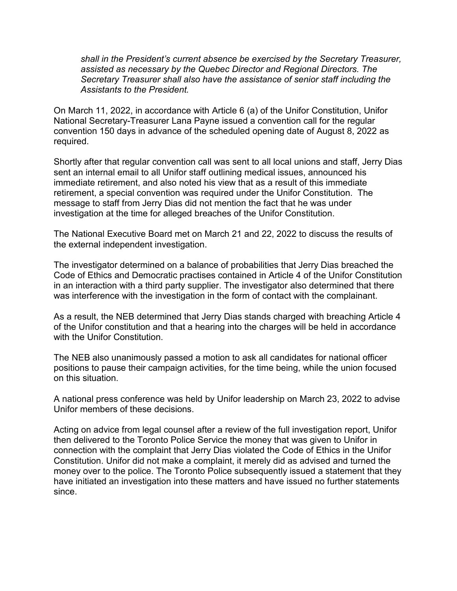*shall in the President's current absence be exercised by the Secretary Treasurer, Secretary Treasurer shall also have the assistance of senior staff including the assisted as necessary by the Quebec Director and Regional Directors. The Assistants to the President.* 

On March 11, 2022, in accordance with Article 6 (a) of the Unifor Constitution, Unifor National Secretary-Treasurer Lana Payne issued a convention call for the regular convention 150 days in advance of the scheduled opening date of August 8, 2022 as required.

 immediate retirement, and also noted his view that as a result of this immediate retirement, a special convention was required under the Unifor Constitution. The message to staff from Jerry Dias did not mention the fact that he was under Shortly after that regular convention call was sent to all local unions and staff, Jerry Dias sent an internal email to all Unifor staff outlining medical issues, announced his investigation at the time for alleged breaches of the Unifor Constitution.

 The National Executive Board met on March 21 and 22, 2022 to discuss the results of the external independent investigation.

 The investigator determined on a balance of probabilities that Jerry Dias breached the Code of Ethics and Democratic practises contained in Article 4 of the Unifor Constitution in an interaction with a third party supplier. The investigator also determined that there was interference with the investigation in the form of contact with the complainant.

As a result, the NEB determined that Jerry Dias stands charged with breaching Article 4 of the Unifor constitution and that a hearing into the charges will be held in accordance with the Unifor Constitution

 The NEB also unanimously passed a motion to ask all candidates for national officer positions to pause their campaign activities, for the time being, while the union focused on this situation.

A national press conference was held by Unifor leadership on March 23, 2022 to advise Unifor members of these decisions.

 then delivered to the Toronto Police Service the money that was given to Unifor in money over to the police. The Toronto Police subsequently issued a statement that they have initiated an investigation into these matters and have issued no further statements since. Acting on advice from legal counsel after a review of the full investigation report, Unifor connection with the complaint that Jerry Dias violated the Code of Ethics in the Unifor Constitution. Unifor did not make a complaint, it merely did as advised and turned the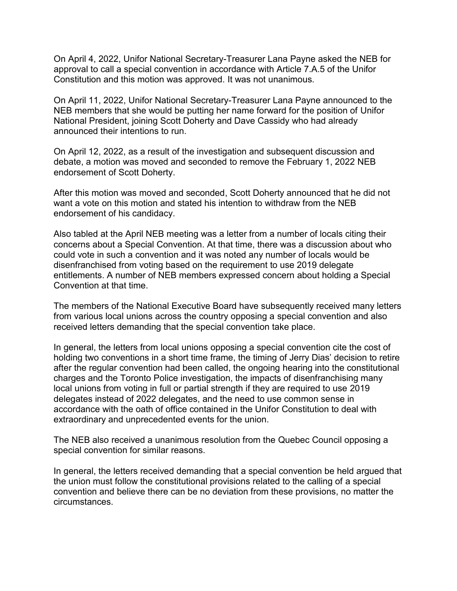On April 4, 2022, Unifor National Secretary-Treasurer Lana Payne asked the NEB for approval to call a special convention in accordance with Article 7.A.5 of the Unifor Constitution and this motion was approved. It was not unanimous.

On April 11, 2022, Unifor National Secretary-Treasurer Lana Payne announced to the NEB members that she would be putting her name forward for the position of Unifor National President, joining Scott Doherty and Dave Cassidy who had already announced their intentions to run.

On April 12, 2022, as a result of the investigation and subsequent discussion and debate, a motion was moved and seconded to remove the February 1, 2022 NEB endorsement of Scott Doherty.

After this motion was moved and seconded, Scott Doherty announced that he did not want a vote on this motion and stated his intention to withdraw from the NEB endorsement of his candidacy.

Also tabled at the April NEB meeting was a letter from a number of locals citing their concerns about a Special Convention. At that time, there was a discussion about who could vote in such a convention and it was noted any number of locals would be disenfranchised from voting based on the requirement to use 2019 delegate entitlements. A number of NEB members expressed concern about holding a Special Convention at that time.

The members of the National Executive Board have subsequently received many letters from various local unions across the country opposing a special convention and also received letters demanding that the special convention take place.

In general, the letters from local unions opposing a special convention cite the cost of holding two conventions in a short time frame, the timing of Jerry Dias' decision to retire after the regular convention had been called, the ongoing hearing into the constitutional charges and the Toronto Police investigation, the impacts of disenfranchising many local unions from voting in full or partial strength if they are required to use 2019 delegates instead of 2022 delegates, and the need to use common sense in accordance with the oath of office contained in the Unifor Constitution to deal with extraordinary and unprecedented events for the union.

The NEB also received a unanimous resolution from the Quebec Council opposing a special convention for similar reasons.

In general, the letters received demanding that a special convention be held argued that the union must follow the constitutional provisions related to the calling of a special convention and believe there can be no deviation from these provisions, no matter the circumstances.